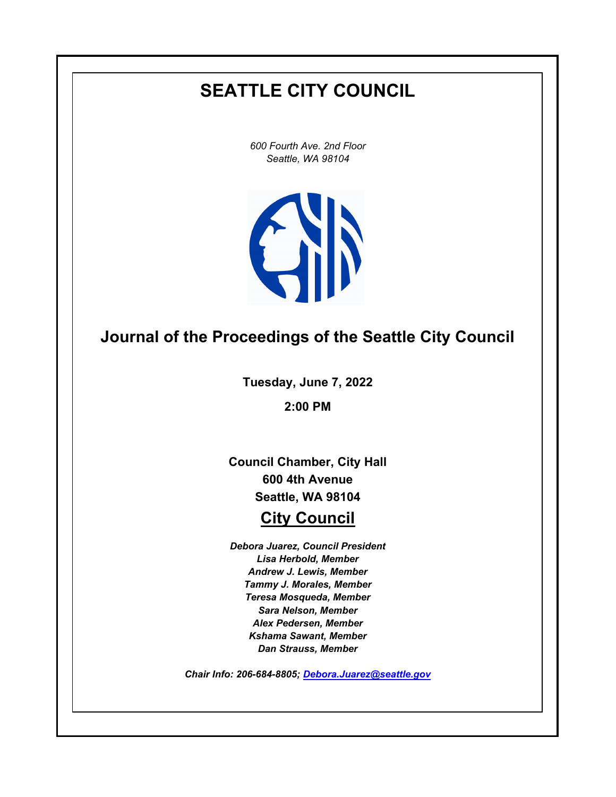# **SEATTLE CITY COUNCIL**

*600 Fourth Ave. 2nd Floor Seattle, WA 98104*



## **Journal of the Proceedings of the Seattle City Council**

**Tuesday, June 7, 2022**

**2:00 PM**

**Council Chamber, City Hall 600 4th Avenue Seattle, WA 98104**

### **City Council**

*Debora Juarez, Council President Lisa Herbold, Member Andrew J. Lewis, Member Tammy J. Morales, Member Teresa Mosqueda, Member Sara Nelson, Member Alex Pedersen, Member Kshama Sawant, Member Dan Strauss, Member*

*Chair Info: 206-684-8805; [Debora.Juarez@seattle.gov](mailto:Debora.Juarez@seattle.gov)*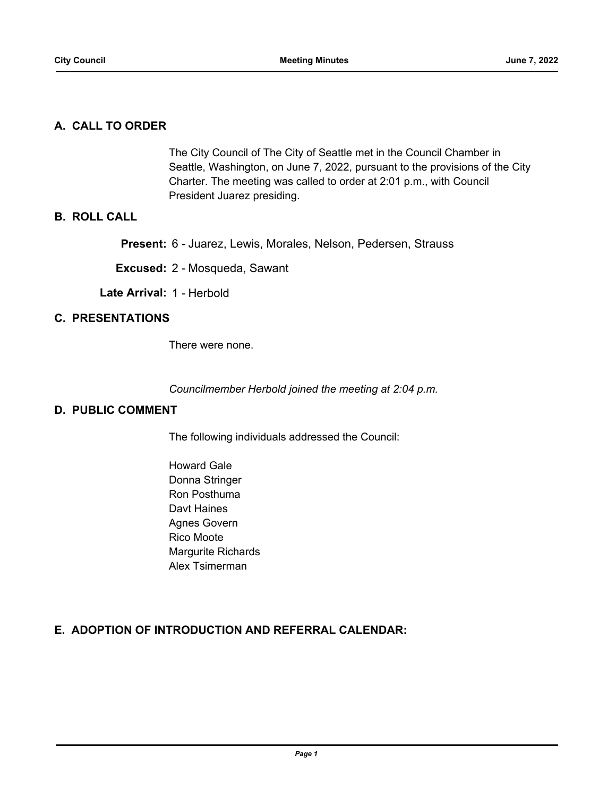#### **A. CALL TO ORDER**

The City Council of The City of Seattle met in the Council Chamber in Seattle, Washington, on June 7, 2022, pursuant to the provisions of the City Charter. The meeting was called to order at 2:01 p.m., with Council President Juarez presiding.

#### **B. ROLL CALL**

**Present:** 6 - Juarez, Lewis, Morales, Nelson, Pedersen, Strauss

**Excused:** 2 - Mosqueda, Sawant

**Late Arrival:** 1 - Herbold

#### **C. PRESENTATIONS**

There were none.

*Councilmember Herbold joined the meeting at 2:04 p.m.*

#### **D. PUBLIC COMMENT**

The following individuals addressed the Council:

Howard Gale Donna Stringer Ron Posthuma Davt Haines Agnes Govern Rico Moote Margurite Richards Alex Tsimerman

#### **E. ADOPTION OF INTRODUCTION AND REFERRAL CALENDAR:**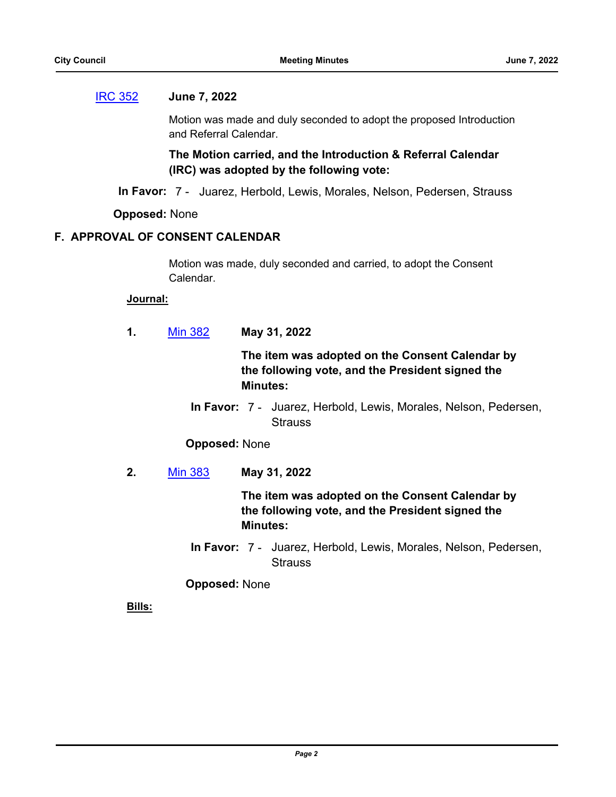#### [IRC 352](http://seattle.legistar.com/gateway.aspx?m=l&id=/matter.aspx?key=13050) **June 7, 2022**

Motion was made and duly seconded to adopt the proposed Introduction and Referral Calendar.

**The Motion carried, and the Introduction & Referral Calendar (IRC) was adopted by the following vote:**

**In Favor:** 7 - Juarez, Herbold, Lewis, Morales, Nelson, Pedersen, Strauss

**Opposed:** None

#### **F. APPROVAL OF CONSENT CALENDAR**

Motion was made, duly seconded and carried, to adopt the Consent Calendar.

#### **Journal:**

**1.** [Min 382](http://seattle.legistar.com/gateway.aspx?m=l&id=/matter.aspx?key=13048) **May 31, 2022**

**The item was adopted on the Consent Calendar by the following vote, and the President signed the Minutes:**

In Favor: 7 - Juarez, Herbold, Lewis, Morales, Nelson, Pedersen, **Strauss** 

#### **Opposed:** None

**2.** [Min 383](http://seattle.legistar.com/gateway.aspx?m=l&id=/matter.aspx?key=13049) **May 31, 2022**

**The item was adopted on the Consent Calendar by the following vote, and the President signed the Minutes:**

In Favor: 7 - Juarez, Herbold, Lewis, Morales, Nelson, Pedersen, **Strauss** 

**Opposed:** None

**Bills:**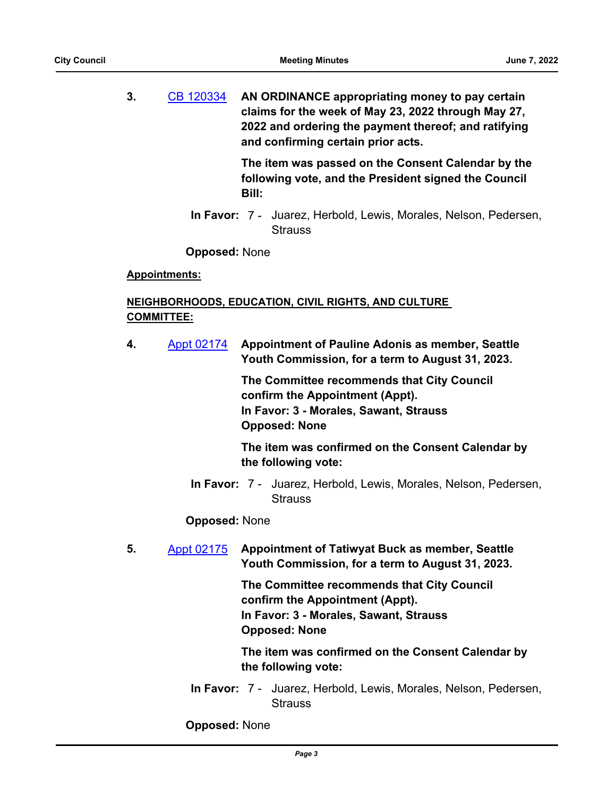**3.** [CB 120334](http://seattle.legistar.com/gateway.aspx?m=l&id=/matter.aspx?key=13022) **AN ORDINANCE appropriating money to pay certain claims for the week of May 23, 2022 through May 27, 2022 and ordering the payment thereof; and ratifying and confirming certain prior acts.**

> **The item was passed on the Consent Calendar by the following vote, and the President signed the Council Bill:**

In Favor: 7 - Juarez, Herbold, Lewis, Morales, Nelson, Pedersen, **Strauss** 

**Opposed:** None

#### **Appointments:**

#### **NEIGHBORHOODS, EDUCATION, CIVIL RIGHTS, AND CULTURE COMMITTEE:**

**4.** [Appt 02174](http://seattle.legistar.com/gateway.aspx?m=l&id=/matter.aspx?key=12801) **Appointment of Pauline Adonis as member, Seattle Youth Commission, for a term to August 31, 2023.**

> **The Committee recommends that City Council confirm the Appointment (Appt). In Favor: 3 - Morales, Sawant, Strauss Opposed: None**

**The item was confirmed on the Consent Calendar by the following vote:**

In Favor: 7 - Juarez, Herbold, Lewis, Morales, Nelson, Pedersen, **Strauss** 

#### **Opposed:** None

**5.** [Appt 02175](http://seattle.legistar.com/gateway.aspx?m=l&id=/matter.aspx?key=12802) **Appointment of Tatiwyat Buck as member, Seattle Youth Commission, for a term to August 31, 2023.**

> **The Committee recommends that City Council confirm the Appointment (Appt). In Favor: 3 - Morales, Sawant, Strauss Opposed: None**

**The item was confirmed on the Consent Calendar by the following vote:**

In Favor: 7 - Juarez, Herbold, Lewis, Morales, Nelson, Pedersen, **Strauss** 

**Opposed:** None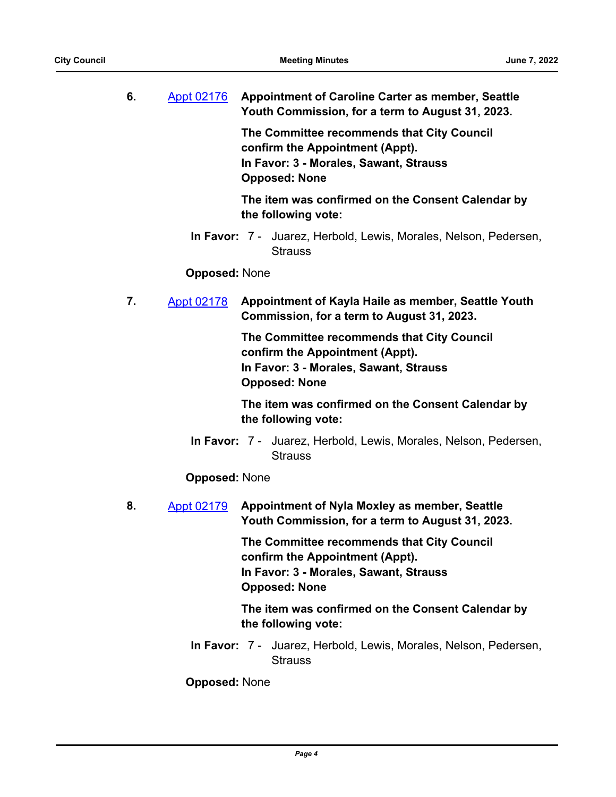| 6. | Appt 02176 | <b>Appointment of Caroline Carter as member, Seattle</b> |
|----|------------|----------------------------------------------------------|
|    |            | Youth Commission, for a term to August 31, 2023.         |

**The Committee recommends that City Council confirm the Appointment (Appt). In Favor: 3 - Morales, Sawant, Strauss Opposed: None**

**The item was confirmed on the Consent Calendar by the following vote:**

In Favor: 7 - Juarez, Herbold, Lewis, Morales, Nelson, Pedersen, **Strauss** 

#### **Opposed:** None

**7.** [Appt 02178](http://seattle.legistar.com/gateway.aspx?m=l&id=/matter.aspx?key=12805) **Appointment of Kayla Haile as member, Seattle Youth Commission, for a term to August 31, 2023.**

> **The Committee recommends that City Council confirm the Appointment (Appt). In Favor: 3 - Morales, Sawant, Strauss Opposed: None**

**The item was confirmed on the Consent Calendar by the following vote:**

In Favor: 7 - Juarez, Herbold, Lewis, Morales, Nelson, Pedersen, **Strauss** 

#### **Opposed:** None

**8.** [Appt 02179](http://seattle.legistar.com/gateway.aspx?m=l&id=/matter.aspx?key=12806) **Appointment of Nyla Moxley as member, Seattle Youth Commission, for a term to August 31, 2023.**

> **The Committee recommends that City Council confirm the Appointment (Appt). In Favor: 3 - Morales, Sawant, Strauss Opposed: None**

**The item was confirmed on the Consent Calendar by the following vote:**

In Favor: 7 - Juarez, Herbold, Lewis, Morales, Nelson, Pedersen, **Strauss** 

**Opposed:** None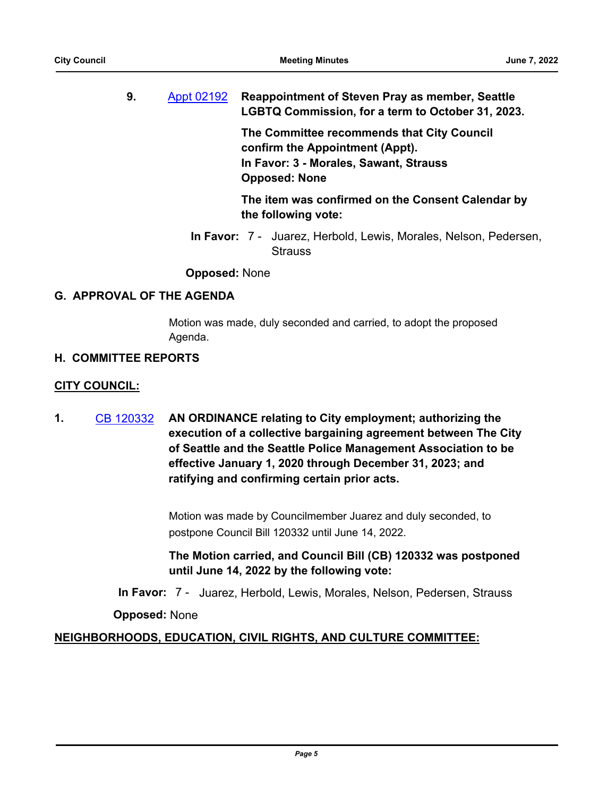**9.** [Appt 02192](http://seattle.legistar.com/gateway.aspx?m=l&id=/matter.aspx?key=12810) **Reappointment of Steven Pray as member, Seattle LGBTQ Commission, for a term to October 31, 2023.**

> **The Committee recommends that City Council confirm the Appointment (Appt). In Favor: 3 - Morales, Sawant, Strauss Opposed: None**

**The item was confirmed on the Consent Calendar by the following vote:**

In Favor: 7 - Juarez, Herbold, Lewis, Morales, Nelson, Pedersen, **Strauss** 

**Opposed:** None

#### **G. APPROVAL OF THE AGENDA**

Motion was made, duly seconded and carried, to adopt the proposed Agenda.

#### **H. COMMITTEE REPORTS**

#### **CITY COUNCIL:**

**1.** [CB 120332](http://seattle.legistar.com/gateway.aspx?m=l&id=/matter.aspx?key=12893) **AN ORDINANCE relating to City employment; authorizing the execution of a collective bargaining agreement between The City of Seattle and the Seattle Police Management Association to be effective January 1, 2020 through December 31, 2023; and ratifying and confirming certain prior acts.**

> Motion was made by Councilmember Juarez and duly seconded, to postpone Council Bill 120332 until June 14, 2022.

**The Motion carried, and Council Bill (CB) 120332 was postponed until June 14, 2022 by the following vote:**

**In Favor:** 7 - Juarez, Herbold, Lewis, Morales, Nelson, Pedersen, Strauss

**Opposed:** None

### **NEIGHBORHOODS, EDUCATION, CIVIL RIGHTS, AND CULTURE COMMITTEE:**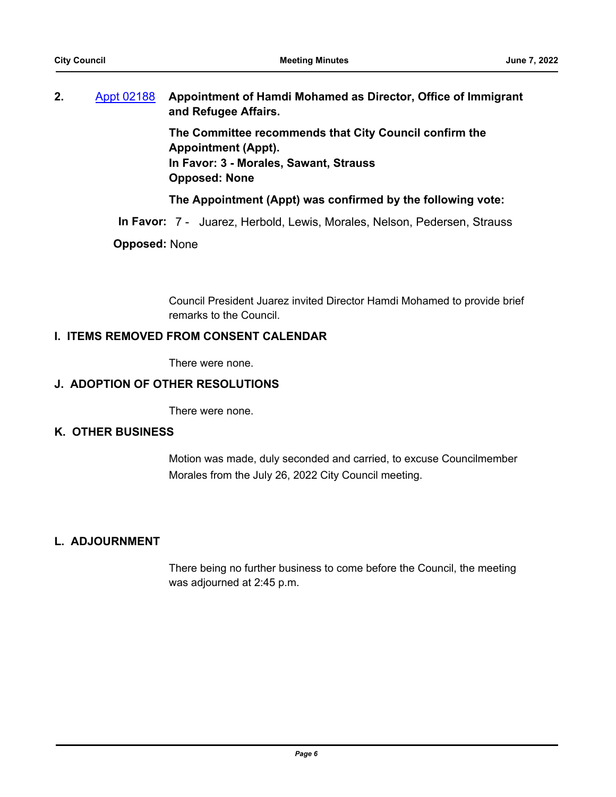**2.** [Appt 02188](http://seattle.legistar.com/gateway.aspx?m=l&id=/matter.aspx?key=12906) **Appointment of Hamdi Mohamed as Director, Office of Immigrant and Refugee Affairs.**

**The Committee recommends that City Council confirm the Appointment (Appt). In Favor: 3 - Morales, Sawant, Strauss Opposed: None**

#### **The Appointment (Appt) was confirmed by the following vote:**

**In Favor:** 7 - Juarez, Herbold, Lewis, Morales, Nelson, Pedersen, Strauss

#### **Opposed:** None

Council President Juarez invited Director Hamdi Mohamed to provide brief remarks to the Council.

#### **I. ITEMS REMOVED FROM CONSENT CALENDAR**

There were none.

#### **J. ADOPTION OF OTHER RESOLUTIONS**

There were none.

#### **K. OTHER BUSINESS**

Motion was made, duly seconded and carried, to excuse Councilmember Morales from the July 26, 2022 City Council meeting.

#### **L. ADJOURNMENT**

There being no further business to come before the Council, the meeting was adjourned at 2:45 p.m.